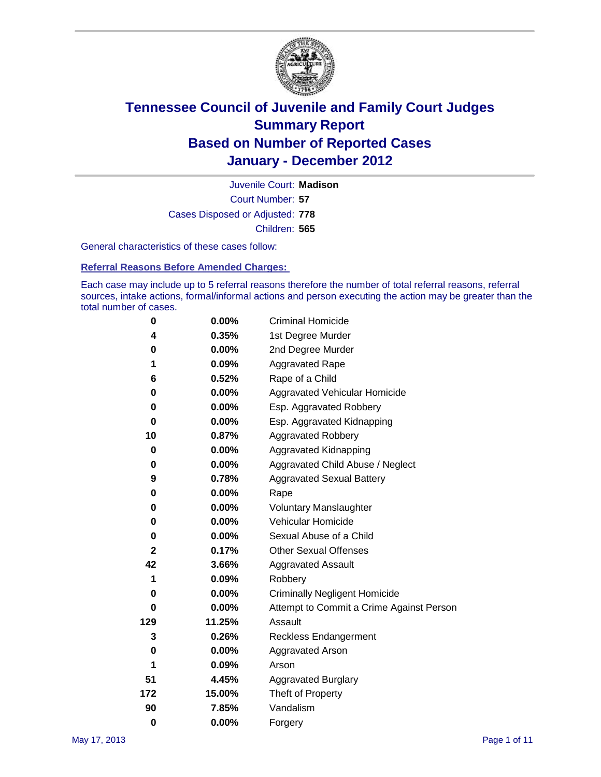

Court Number: **57** Juvenile Court: **Madison** Cases Disposed or Adjusted: **778** Children: **565**

General characteristics of these cases follow:

**Referral Reasons Before Amended Charges:** 

Each case may include up to 5 referral reasons therefore the number of total referral reasons, referral sources, intake actions, formal/informal actions and person executing the action may be greater than the total number of cases.

| 0            | $0.00\%$ | <b>Criminal Homicide</b>                 |
|--------------|----------|------------------------------------------|
| 4            | 0.35%    | 1st Degree Murder                        |
| 0            | $0.00\%$ | 2nd Degree Murder                        |
| 1            | 0.09%    | <b>Aggravated Rape</b>                   |
| 6            | 0.52%    | Rape of a Child                          |
| 0            | 0.00%    | Aggravated Vehicular Homicide            |
| 0            | $0.00\%$ | Esp. Aggravated Robbery                  |
| 0            | 0.00%    | Esp. Aggravated Kidnapping               |
| 10           | 0.87%    | <b>Aggravated Robbery</b>                |
| 0            | 0.00%    | Aggravated Kidnapping                    |
| 0            | 0.00%    | Aggravated Child Abuse / Neglect         |
| 9            | 0.78%    | <b>Aggravated Sexual Battery</b>         |
| 0            | 0.00%    | Rape                                     |
| 0            | $0.00\%$ | <b>Voluntary Manslaughter</b>            |
| 0            | 0.00%    | Vehicular Homicide                       |
| 0            | 0.00%    | Sexual Abuse of a Child                  |
| $\mathbf{2}$ | 0.17%    | <b>Other Sexual Offenses</b>             |
| 42           | 3.66%    | <b>Aggravated Assault</b>                |
| 1            | 0.09%    | Robbery                                  |
| 0            | $0.00\%$ | <b>Criminally Negligent Homicide</b>     |
| 0            | 0.00%    | Attempt to Commit a Crime Against Person |
| 129          | 11.25%   | Assault                                  |
| 3            | 0.26%    | <b>Reckless Endangerment</b>             |
| 0            | $0.00\%$ | <b>Aggravated Arson</b>                  |
| 1            | 0.09%    | Arson                                    |
| 51           | 4.45%    | <b>Aggravated Burglary</b>               |
| 172          | 15.00%   | Theft of Property                        |
| 90           | 7.85%    | Vandalism                                |
| $\bf{0}$     | 0.00%    | Forgery                                  |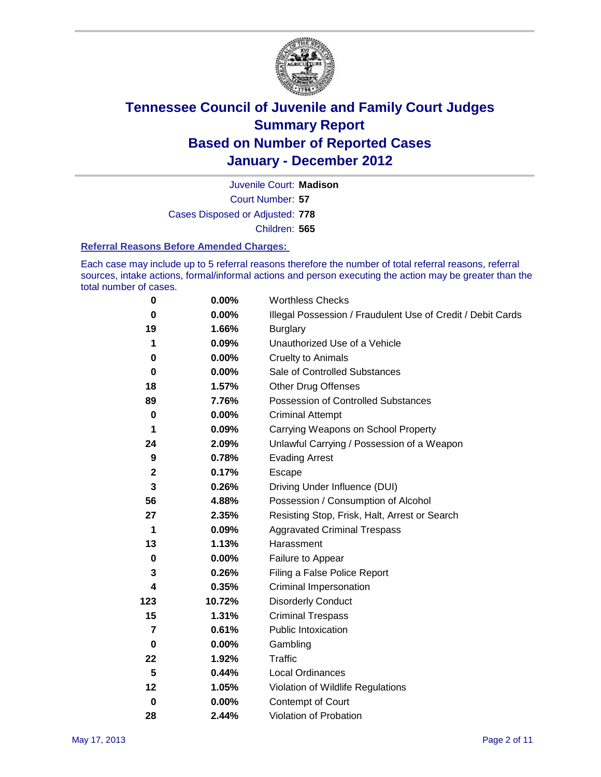

Court Number: **57** Juvenile Court: **Madison** Cases Disposed or Adjusted: **778** Children: **565**

#### **Referral Reasons Before Amended Charges:**

Each case may include up to 5 referral reasons therefore the number of total referral reasons, referral sources, intake actions, formal/informal actions and person executing the action may be greater than the total number of cases.

| $\pmb{0}$      | 0.00%    | <b>Worthless Checks</b>                                     |
|----------------|----------|-------------------------------------------------------------|
| 0              | 0.00%    | Illegal Possession / Fraudulent Use of Credit / Debit Cards |
| 19             | 1.66%    | <b>Burglary</b>                                             |
| 1              | 0.09%    | Unauthorized Use of a Vehicle                               |
| 0              | $0.00\%$ | <b>Cruelty to Animals</b>                                   |
| $\bf{0}$       | $0.00\%$ | Sale of Controlled Substances                               |
| 18             | 1.57%    | <b>Other Drug Offenses</b>                                  |
| 89             | 7.76%    | Possession of Controlled Substances                         |
| $\mathbf 0$    | $0.00\%$ | <b>Criminal Attempt</b>                                     |
| 1              | 0.09%    | Carrying Weapons on School Property                         |
| 24             | 2.09%    | Unlawful Carrying / Possession of a Weapon                  |
| 9              | 0.78%    | <b>Evading Arrest</b>                                       |
| $\mathbf 2$    | 0.17%    | Escape                                                      |
| 3              | 0.26%    | Driving Under Influence (DUI)                               |
| 56             | 4.88%    | Possession / Consumption of Alcohol                         |
| 27             | 2.35%    | Resisting Stop, Frisk, Halt, Arrest or Search               |
| 1              | 0.09%    | <b>Aggravated Criminal Trespass</b>                         |
| 13             | 1.13%    | Harassment                                                  |
| $\bf{0}$       | 0.00%    | Failure to Appear                                           |
| 3              | 0.26%    | Filing a False Police Report                                |
| 4              | 0.35%    | Criminal Impersonation                                      |
| 123            | 10.72%   | <b>Disorderly Conduct</b>                                   |
| 15             | 1.31%    | <b>Criminal Trespass</b>                                    |
| $\overline{7}$ | 0.61%    | <b>Public Intoxication</b>                                  |
| 0              | $0.00\%$ | Gambling                                                    |
| 22             | 1.92%    | <b>Traffic</b>                                              |
| 5              | 0.44%    | <b>Local Ordinances</b>                                     |
| 12             | 1.05%    | Violation of Wildlife Regulations                           |
| $\bf{0}$       | $0.00\%$ | Contempt of Court                                           |
| 28             | 2.44%    | Violation of Probation                                      |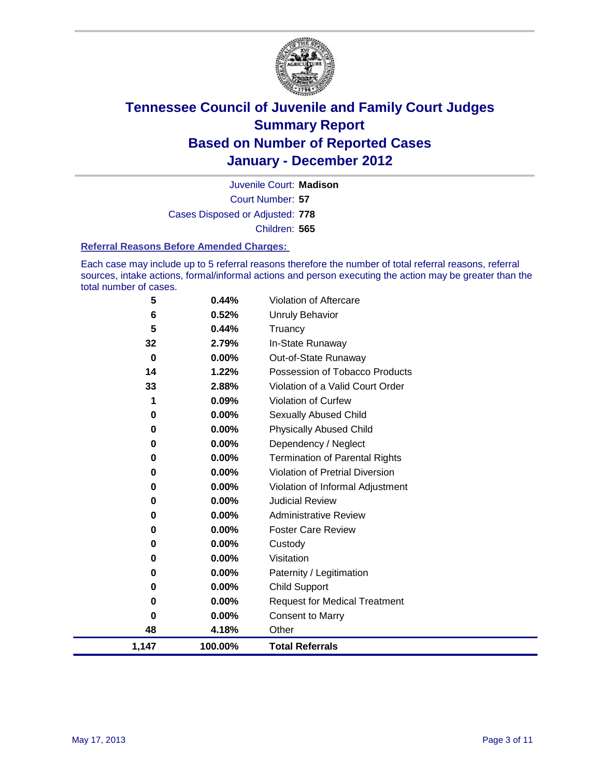

Court Number: **57** Juvenile Court: **Madison** Cases Disposed or Adjusted: **778** Children: **565**

#### **Referral Reasons Before Amended Charges:**

Each case may include up to 5 referral reasons therefore the number of total referral reasons, referral sources, intake actions, formal/informal actions and person executing the action may be greater than the total number of cases.

| 5        | 0.44%    | Violation of Aftercare                 |
|----------|----------|----------------------------------------|
| 6        | 0.52%    | Unruly Behavior                        |
| 5        | 0.44%    | Truancy                                |
| 32       | 2.79%    | In-State Runaway                       |
| $\bf{0}$ | $0.00\%$ | Out-of-State Runaway                   |
| 14       | 1.22%    | Possession of Tobacco Products         |
| 33       | 2.88%    | Violation of a Valid Court Order       |
|          | 0.09%    | Violation of Curfew                    |
| 0        | $0.00\%$ | Sexually Abused Child                  |
| 0        | 0.00%    | <b>Physically Abused Child</b>         |
| 0        | $0.00\%$ | Dependency / Neglect                   |
| 0        | 0.00%    | <b>Termination of Parental Rights</b>  |
| 0        | 0.00%    | <b>Violation of Pretrial Diversion</b> |
| 0        | 0.00%    | Violation of Informal Adjustment       |
| 0        | $0.00\%$ | <b>Judicial Review</b>                 |
| 0        | $0.00\%$ | <b>Administrative Review</b>           |
| 0        | 0.00%    | <b>Foster Care Review</b>              |
| 0        | 0.00%    | Custody                                |
| 0        | 0.00%    | Visitation                             |
| 0        | 0.00%    | Paternity / Legitimation               |
| 0        | 0.00%    | Child Support                          |
| 0        | 0.00%    | <b>Request for Medical Treatment</b>   |
| $\bf{0}$ | 0.00%    | <b>Consent to Marry</b>                |
| 48       | 4.18%    | Other                                  |
| 1,147    | 100.00%  | <b>Total Referrals</b>                 |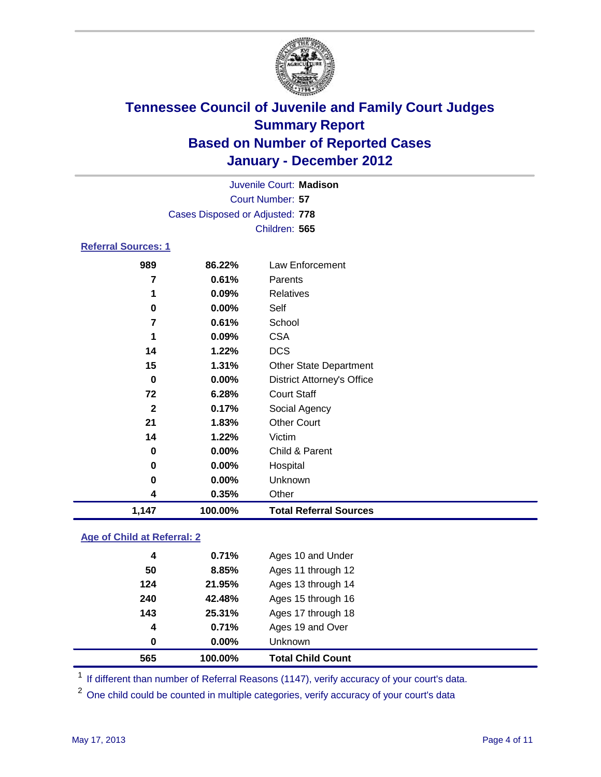

|                                 |               | Juvenile Court: Madison |  |  |  |  |
|---------------------------------|---------------|-------------------------|--|--|--|--|
| Court Number: 57                |               |                         |  |  |  |  |
| Cases Disposed or Adjusted: 778 |               |                         |  |  |  |  |
|                                 | Children: 565 |                         |  |  |  |  |
| <b>Referral Sources: 1</b>      |               |                         |  |  |  |  |
| 989                             | 86.22%        | Law Enforcement         |  |  |  |  |
|                                 | 0.61%         | Parents                 |  |  |  |  |

| 1,147        | 100.00% | <b>Total Referral Sources</b>     |
|--------------|---------|-----------------------------------|
| 4            | 0.35%   | Other                             |
| 0            | 0.00%   | Unknown                           |
| 0            | 0.00%   | Hospital                          |
| 0            | 0.00%   | Child & Parent                    |
| 14           | 1.22%   | Victim                            |
| 21           | 1.83%   | <b>Other Court</b>                |
| $\mathbf{2}$ | 0.17%   | Social Agency                     |
| 72           | 6.28%   | <b>Court Staff</b>                |
| 0            | 0.00%   | <b>District Attorney's Office</b> |
| 15           | 1.31%   | <b>Other State Department</b>     |
| 14           | 1.22%   | <b>DCS</b>                        |
| 1            | 0.09%   | <b>CSA</b>                        |
| 7            | 0.61%   | School                            |
| 0            | 0.00%   | Self                              |
| 1            | 0.09%   | Relatives                         |
|              |         |                                   |

### **Age of Child at Referral: 2**

| 565 | 100.00% | <b>Total Child Count</b> |
|-----|---------|--------------------------|
| 0   | 0.00%   | Unknown                  |
| 4   | 0.71%   | Ages 19 and Over         |
| 143 | 25.31%  | Ages 17 through 18       |
| 240 | 42.48%  | Ages 15 through 16       |
| 124 | 21.95%  | Ages 13 through 14       |
| 50  | 8.85%   | Ages 11 through 12       |
| 4   | 0.71%   | Ages 10 and Under        |
|     |         |                          |

<sup>1</sup> If different than number of Referral Reasons (1147), verify accuracy of your court's data.

<sup>2</sup> One child could be counted in multiple categories, verify accuracy of your court's data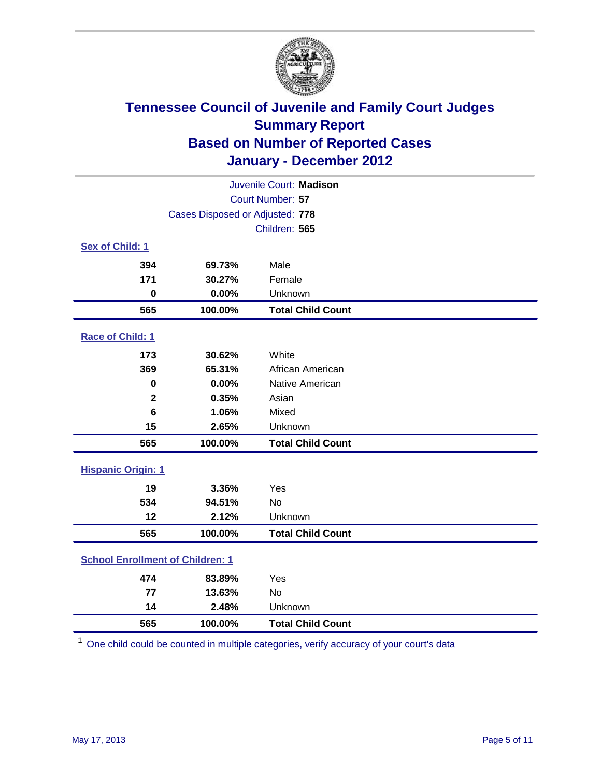

| Juvenile Court: Madison                 |                                 |                          |  |  |
|-----------------------------------------|---------------------------------|--------------------------|--|--|
| Court Number: 57                        |                                 |                          |  |  |
|                                         | Cases Disposed or Adjusted: 778 |                          |  |  |
|                                         |                                 | Children: 565            |  |  |
| Sex of Child: 1                         |                                 |                          |  |  |
| 394                                     | 69.73%                          | Male                     |  |  |
| 171                                     | 30.27%                          | Female                   |  |  |
| $\mathbf 0$                             | 0.00%                           | Unknown                  |  |  |
| 565                                     | 100.00%                         | <b>Total Child Count</b> |  |  |
| Race of Child: 1                        |                                 |                          |  |  |
| 173                                     | 30.62%                          | White                    |  |  |
| 369                                     | 65.31%                          | African American         |  |  |
| 0                                       | 0.00%                           | Native American          |  |  |
| $\mathbf 2$                             | 0.35%                           | Asian                    |  |  |
| $6\phantom{1}$                          | 1.06%                           | Mixed                    |  |  |
| 15                                      | 2.65%                           | Unknown                  |  |  |
| 565                                     | 100.00%                         | <b>Total Child Count</b> |  |  |
| <b>Hispanic Origin: 1</b>               |                                 |                          |  |  |
| 19                                      | 3.36%                           | Yes                      |  |  |
| 534                                     | 94.51%                          | <b>No</b>                |  |  |
| 12                                      | 2.12%                           | Unknown                  |  |  |
| 565                                     | 100.00%                         | <b>Total Child Count</b> |  |  |
| <b>School Enrollment of Children: 1</b> |                                 |                          |  |  |
| 474                                     | 83.89%                          | Yes                      |  |  |
| 77                                      | 13.63%                          | No                       |  |  |
| 14                                      | 2.48%                           | Unknown                  |  |  |
| 565                                     | 100.00%                         | <b>Total Child Count</b> |  |  |

One child could be counted in multiple categories, verify accuracy of your court's data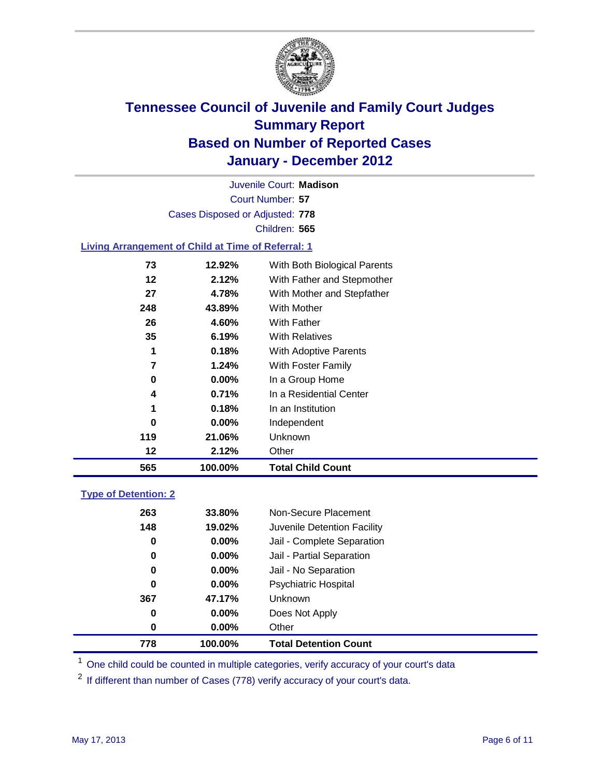

Court Number: **57** Juvenile Court: **Madison** Cases Disposed or Adjusted: **778** Children: **565**

#### **Living Arrangement of Child at Time of Referral: 1**

| 565 | 100.00%  | <b>Total Child Count</b>     |
|-----|----------|------------------------------|
| 12  | 2.12%    | Other                        |
| 119 | 21.06%   | Unknown                      |
| 0   | $0.00\%$ | Independent                  |
| 1   | 0.18%    | In an Institution            |
| 4   | 0.71%    | In a Residential Center      |
| 0   | $0.00\%$ | In a Group Home              |
| 7   | 1.24%    | With Foster Family           |
| 1   | 0.18%    | With Adoptive Parents        |
| 35  | 6.19%    | <b>With Relatives</b>        |
| 26  | 4.60%    | <b>With Father</b>           |
| 248 | 43.89%   | With Mother                  |
| 27  | 4.78%    | With Mother and Stepfather   |
| 12  | 2.12%    | With Father and Stepmother   |
| 73  | 12.92%   | With Both Biological Parents |
|     |          |                              |

#### **Type of Detention: 2**

| 778      | 100.00%       | <b>Total Detention Count</b> |
|----------|---------------|------------------------------|
| $\bf{0}$ | $0.00\%$      | Other                        |
| 0        | 0.00%         | Does Not Apply               |
| 367      | 47.17%        | <b>Unknown</b>               |
| 0        | $0.00\%$      | <b>Psychiatric Hospital</b>  |
| 0        | 0.00%         | Jail - No Separation         |
| 0        | $0.00\%$      | Jail - Partial Separation    |
| 0        | 0.00%         | Jail - Complete Separation   |
| 148      | 19.02%        | Juvenile Detention Facility  |
| 263      | <b>33.80%</b> | Non-Secure Placement         |
|          |               |                              |

<sup>1</sup> One child could be counted in multiple categories, verify accuracy of your court's data

<sup>2</sup> If different than number of Cases (778) verify accuracy of your court's data.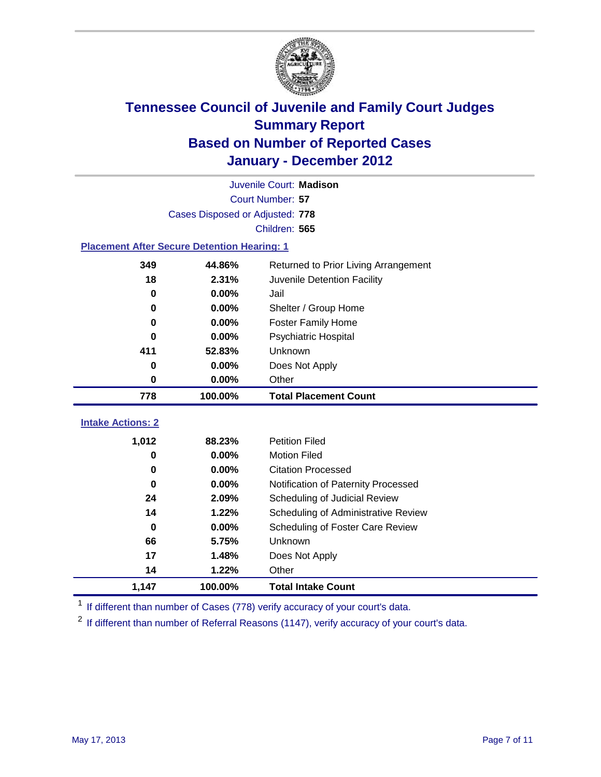

|                                                    |                                 | Juvenile Court: Madison              |  |  |
|----------------------------------------------------|---------------------------------|--------------------------------------|--|--|
| Court Number: 57                                   |                                 |                                      |  |  |
|                                                    | Cases Disposed or Adjusted: 778 |                                      |  |  |
|                                                    |                                 | Children: 565                        |  |  |
| <b>Placement After Secure Detention Hearing: 1</b> |                                 |                                      |  |  |
| 349                                                | 44.86%                          | Returned to Prior Living Arrangement |  |  |
| 18                                                 | 2.31%                           | Juvenile Detention Facility          |  |  |
| 0                                                  | 0.00%                           | Jail                                 |  |  |
| $\bf{0}$                                           | 0.00%                           | Shelter / Group Home                 |  |  |
| 0                                                  | 0.00%                           | <b>Foster Family Home</b>            |  |  |
| $\bf{0}$                                           | 0.00%                           | Psychiatric Hospital                 |  |  |
| 411                                                | 52.83%                          | Unknown                              |  |  |
| 0                                                  | 0.00%                           | Does Not Apply                       |  |  |
| $\mathbf 0$                                        | 0.00%                           | Other                                |  |  |
| 778                                                | 100.00%                         | <b>Total Placement Count</b>         |  |  |
|                                                    |                                 |                                      |  |  |
| <b>Intake Actions: 2</b>                           |                                 |                                      |  |  |
| 1,012                                              | 88.23%                          | <b>Petition Filed</b>                |  |  |
| 0                                                  | 0.00%                           | <b>Motion Filed</b>                  |  |  |
| $\bf{0}$                                           | 0.00%                           | <b>Citation Processed</b>            |  |  |
| 0                                                  | 0.00%                           | Notification of Paternity Processed  |  |  |
| 24                                                 | 2.09%                           | Scheduling of Judicial Review        |  |  |
| 14                                                 | 1.22%                           | Scheduling of Administrative Review  |  |  |
| 0                                                  | 0.00%                           | Scheduling of Foster Care Review     |  |  |
| 66                                                 | 5.75%                           | Unknown                              |  |  |
| 17                                                 | 1.48%                           | Does Not Apply                       |  |  |
| 14                                                 | 1.22%                           | Other                                |  |  |
| 1,147                                              | 100.00%                         | <b>Total Intake Count</b>            |  |  |

<sup>1</sup> If different than number of Cases (778) verify accuracy of your court's data.

<sup>2</sup> If different than number of Referral Reasons (1147), verify accuracy of your court's data.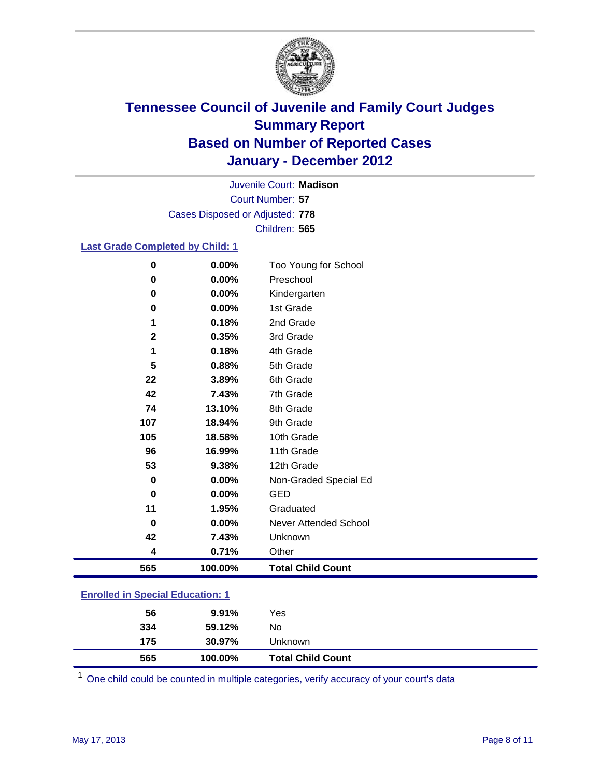

Court Number: **57** Juvenile Court: **Madison** Cases Disposed or Adjusted: **778** Children: **565**

#### **Last Grade Completed by Child: 1**

| $\bf{0}$                                | 0.00%   | Too Young for School         |  |  |
|-----------------------------------------|---------|------------------------------|--|--|
| $\bf{0}$                                | 0.00%   | Preschool                    |  |  |
| 0                                       | 0.00%   | Kindergarten                 |  |  |
| 0                                       | 0.00%   | 1st Grade                    |  |  |
| 1                                       | 0.18%   | 2nd Grade                    |  |  |
| $\mathbf 2$                             | 0.35%   | 3rd Grade                    |  |  |
| 1                                       | 0.18%   | 4th Grade                    |  |  |
| 5                                       | 0.88%   | 5th Grade                    |  |  |
| 22                                      | 3.89%   | 6th Grade                    |  |  |
| 42                                      | 7.43%   | 7th Grade                    |  |  |
| 74                                      | 13.10%  | 8th Grade                    |  |  |
| 107                                     | 18.94%  | 9th Grade                    |  |  |
| 105                                     | 18.58%  | 10th Grade                   |  |  |
| 96                                      | 16.99%  | 11th Grade                   |  |  |
| 53                                      | 9.38%   | 12th Grade                   |  |  |
| 0                                       | 0.00%   | Non-Graded Special Ed        |  |  |
| $\bf{0}$                                | 0.00%   | <b>GED</b>                   |  |  |
| 11                                      | 1.95%   | Graduated                    |  |  |
| 0                                       | 0.00%   | <b>Never Attended School</b> |  |  |
| 42                                      | 7.43%   | Unknown                      |  |  |
| 4                                       | 0.71%   | Other                        |  |  |
| 565                                     | 100.00% | <b>Total Child Count</b>     |  |  |
| <b>Enrolled in Special Education: 1</b> |         |                              |  |  |

| 565 | 100.00% | <b>Total Child Count</b> |  |
|-----|---------|--------------------------|--|
| 175 | 30.97%  | Unknown                  |  |
| 334 | 59.12%  | No.                      |  |
| 56  | 9.91%   | Yes                      |  |
|     |         |                          |  |

One child could be counted in multiple categories, verify accuracy of your court's data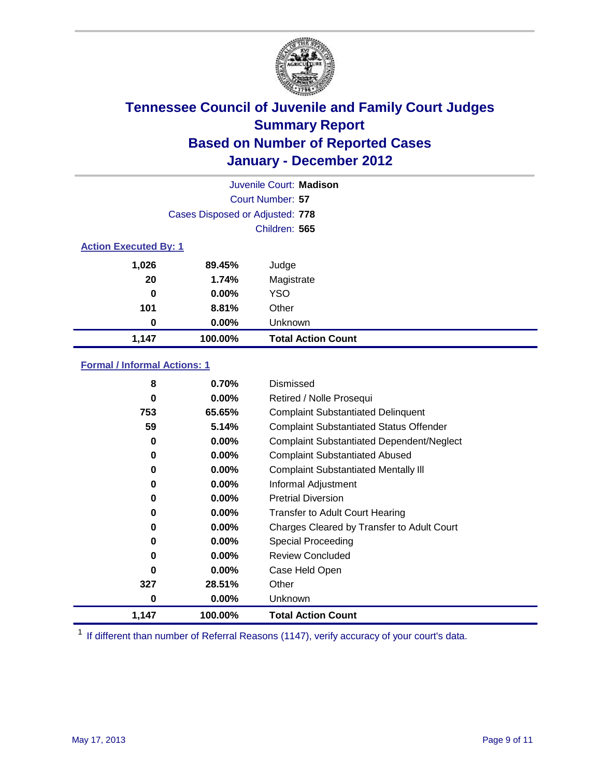

|                              |                                 | Juvenile Court: Madison   |
|------------------------------|---------------------------------|---------------------------|
|                              |                                 | Court Number: 57          |
|                              | Cases Disposed or Adjusted: 778 |                           |
|                              |                                 | Children: 565             |
| <b>Action Executed By: 1</b> |                                 |                           |
| 1,026                        | 89.45%                          | Judge                     |
| 20                           | 1.74%                           | Magistrate                |
| 0                            | $0.00\%$                        | <b>YSO</b>                |
| 101                          | 8.81%                           | Other                     |
| 0                            | 0.00%                           | Unknown                   |
| 1,147                        | 100.00%                         | <b>Total Action Count</b> |

### **Formal / Informal Actions: 1**

| 8        | 0.70%    | Dismissed                                        |
|----------|----------|--------------------------------------------------|
| 0        | $0.00\%$ | Retired / Nolle Prosequi                         |
| 753      | 65.65%   | <b>Complaint Substantiated Delinquent</b>        |
| 59       | 5.14%    | <b>Complaint Substantiated Status Offender</b>   |
| 0        | 0.00%    | <b>Complaint Substantiated Dependent/Neglect</b> |
| 0        | $0.00\%$ | <b>Complaint Substantiated Abused</b>            |
| 0        | 0.00%    | <b>Complaint Substantiated Mentally III</b>      |
| 0        | $0.00\%$ | Informal Adjustment                              |
| 0        | $0.00\%$ | <b>Pretrial Diversion</b>                        |
| 0        | $0.00\%$ | <b>Transfer to Adult Court Hearing</b>           |
| 0        | $0.00\%$ | Charges Cleared by Transfer to Adult Court       |
| 0        | 0.00%    | <b>Special Proceeding</b>                        |
| 0        | $0.00\%$ | <b>Review Concluded</b>                          |
| $\bf{0}$ | $0.00\%$ | Case Held Open                                   |
| 327      | 28.51%   | Other                                            |
| 0        | $0.00\%$ | <b>Unknown</b>                                   |
| 1,147    | 100.00%  | <b>Total Action Count</b>                        |

<sup>1</sup> If different than number of Referral Reasons (1147), verify accuracy of your court's data.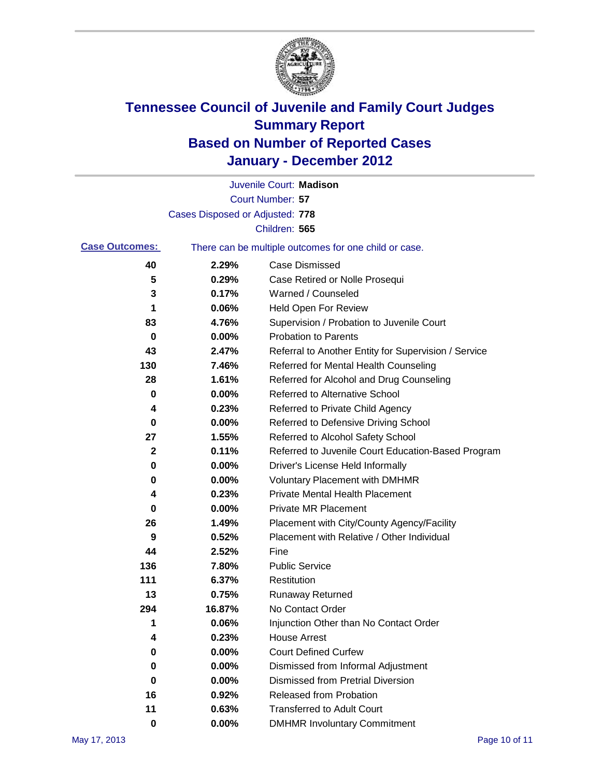

|                       |                                 | Juvenile Court: Madison                               |
|-----------------------|---------------------------------|-------------------------------------------------------|
|                       |                                 | <b>Court Number: 57</b>                               |
|                       | Cases Disposed or Adjusted: 778 |                                                       |
|                       |                                 | Children: 565                                         |
| <b>Case Outcomes:</b> |                                 | There can be multiple outcomes for one child or case. |
| 40                    | 2.29%                           | <b>Case Dismissed</b>                                 |
| 5                     | 0.29%                           | Case Retired or Nolle Prosequi                        |
| 3                     | 0.17%                           | Warned / Counseled                                    |
| 1                     | 0.06%                           | <b>Held Open For Review</b>                           |
| 83                    | 4.76%                           | Supervision / Probation to Juvenile Court             |
| 0                     | 0.00%                           | <b>Probation to Parents</b>                           |
| 43                    | 2.47%                           | Referral to Another Entity for Supervision / Service  |
| 130                   | 7.46%                           | Referred for Mental Health Counseling                 |
| 28                    | 1.61%                           | Referred for Alcohol and Drug Counseling              |
| 0                     | 0.00%                           | Referred to Alternative School                        |
| 4                     | 0.23%                           | Referred to Private Child Agency                      |
| 0                     | 0.00%                           | Referred to Defensive Driving School                  |
| 27                    | 1.55%                           | Referred to Alcohol Safety School                     |
| $\mathbf 2$           | 0.11%                           | Referred to Juvenile Court Education-Based Program    |
| 0                     | 0.00%                           | Driver's License Held Informally                      |
| 0                     | 0.00%                           | <b>Voluntary Placement with DMHMR</b>                 |
| 4                     | 0.23%                           | <b>Private Mental Health Placement</b>                |
| 0                     | 0.00%                           | <b>Private MR Placement</b>                           |
| 26                    | 1.49%                           | Placement with City/County Agency/Facility            |
| 9                     | 0.52%                           | Placement with Relative / Other Individual            |
| 44                    | 2.52%                           | Fine                                                  |
| 136                   | 7.80%                           | <b>Public Service</b>                                 |
| 111                   | 6.37%                           | Restitution                                           |
| 13                    | 0.75%                           | <b>Runaway Returned</b>                               |
| 294                   | 16.87%                          | No Contact Order                                      |
| 1                     | 0.06%                           | Injunction Other than No Contact Order                |
| 4                     | 0.23%                           | <b>House Arrest</b>                                   |
| 0                     | 0.00%                           | <b>Court Defined Curfew</b>                           |
| 0                     | 0.00%                           | Dismissed from Informal Adjustment                    |
| 0                     | 0.00%                           | <b>Dismissed from Pretrial Diversion</b>              |
| 16                    | 0.92%                           | Released from Probation                               |
| 11                    | 0.63%                           | <b>Transferred to Adult Court</b>                     |
| $\pmb{0}$             | 0.00%                           | <b>DMHMR Involuntary Commitment</b>                   |